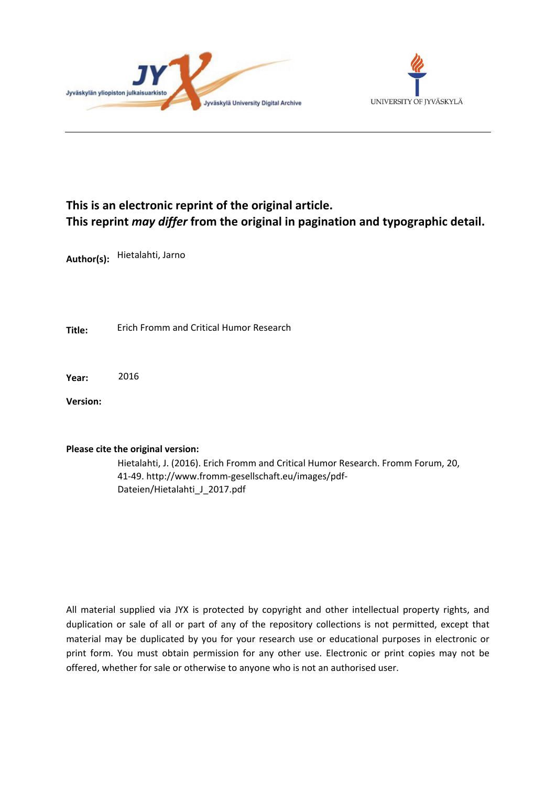



# **This is an electronic reprint of the original article. This reprint** *may differ* **from the original in pagination and typographic detail.**

**Author(s):**  Hietalahti, Jarno

**Title:** Erich Fromm and Critical Humor Research

**Year:**  2016

**Version:**

### **Please cite the original version:**

Hietalahti, J. (2016). Erich Fromm and Critical Humor Research. Fromm Forum, 20, 41-49. http://www.fromm-gesellschaft.eu/images/pdf-Dateien/Hietalahti\_J\_2017.pdf

All material supplied via JYX is protected by copyright and other intellectual property rights, and duplication or sale of all or part of any of the repository collections is not permitted, except that material may be duplicated by you for your research use or educational purposes in electronic or print form. You must obtain permission for any other use. Electronic or print copies may not be offered, whether for sale or otherwise to anyone who is not an authorised user.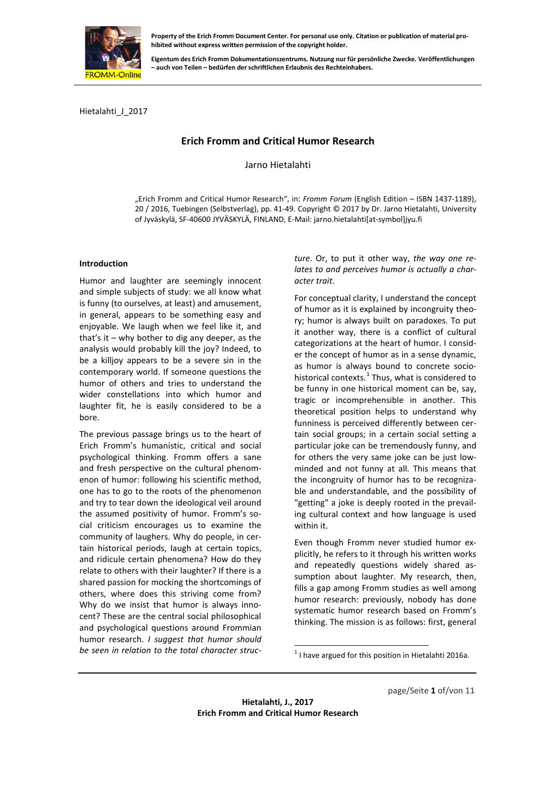

**Eigentum des Erich Fromm Dokumentationszentrums. Nutzung nur für persönliche Zwecke. Veröffentlichungen – auch von Teilen – bedürfen der schriftlichen Erlaubnis des Rechteinhabers.**

Hietalahti\_J\_2017

## **Erich Fromm and Critical Humor Research**

Jarno Hietalahti

"Erich Fromm and Critical Humor Research", in: *Fromm Forum* (English Edition – ISBN 1437-1189), 20 / 2016, Tuebingen (Selbstverlag), pp. 41-49. Copyright © 2017 by Dr. Jarno Hietalahti, University of Jyväskylä, SF-40600 JYVÄSKYLÄ, FINLAND, E-Mail: jarno.hietalahti[at-symbol]jyu.fi

#### **Introduction**

Humor and laughter are seemingly innocent and simple subjects of study: we all know what is funny (to ourselves, at least) and amusement, in general, appears to be something easy and enjoyable. We laugh when we feel like it, and that's it – why bother to dig any deeper, as the analysis would probably kill the joy? Indeed, to be a killjoy appears to be a severe sin in the contemporary world. If someone questions the humor of others and tries to understand the wider constellations into which humor and laughter fit, he is easily considered to be a bore.

<span id="page-1-0"></span>The previous passage brings us to the heart of Erich Fromm's humanistic, critical and social psychological thinking. Fromm offers a sane and fresh perspective on the cultural phenomenon of humor: following his scientific method, one has to go to the roots of the phenomenon and try to tear down the ideological veil around the assumed positivity of humor. Fromm's social criticism encourages us to examine the community of laughers. Why do people, in certain historical periods, laugh at certain topics, and ridicule certain phenomena? How do they relate to others with their laughter? If there is a shared passion for mocking the shortcomings of others, where does this striving come from? Why do we insist that humor is always innocent? These are the central social philosophical and psychological questions around Frommian humor research. *I suggest that humor should be seen in relation to the total character struc-* *ture*. Or, to put it other way, *the way one relates to and perceives humor is actually a character trait*.

For conceptual clarity, I understand the concept of humor as it is explained by incongruity theory; humor is always built on paradoxes. To put it another way, there is a conflict of cultural categorizations at the heart of humor. I consider the concept of humor as in a sense dynamic, as humor is always bound to concrete sociohistorical contexts. $<sup>1</sup>$  $<sup>1</sup>$  $<sup>1</sup>$  Thus, what is considered to</sup> be funny in one historical moment can be, say, tragic or incomprehensible in another. This theoretical position helps to understand why funniness is perceived differently between certain social groups; in a certain social setting a particular joke can be tremendously funny, and for others the very same joke can be just lowminded and not funny at all. This means that the incongruity of humor has to be recognizable and understandable, and the possibility of "getting" a joke is deeply rooted in the prevailing cultural context and how language is used within it.

Even though Fromm never studied humor explicitly, he refers to it through his written works and repeatedly questions widely shared assumption about laughter. My research, then, fills a gap among Fromm studies as well among humor research: previously, nobody has done systematic humor research based on Fromm's thinking. The mission is as follows: first, general

 $1$  I have argued for this position in Hietalahti 2016a.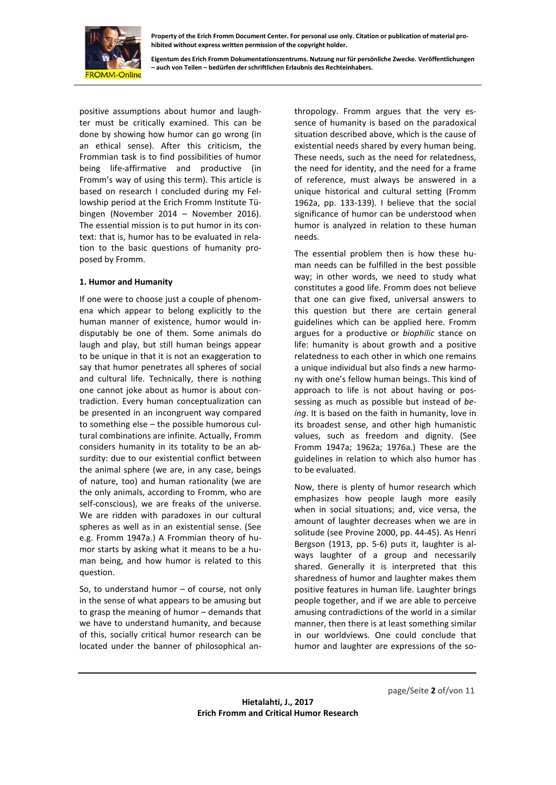

**Eigentum des Erich Fromm Dokumentationszentrums. Nutzung nur für persönliche Zwecke. Veröffentlichungen – auch von Teilen – bedürfen der schriftlichen Erlaubnis des Rechteinhabers.**

positive assumptions about humor and laughter must be critically examined. This can be done by showing how humor can go wrong (in an ethical sense). After this criticism, the Frommian task is to find possibilities of humor being life-affirmative and productive (in Fromm's way of using this term). This article is based on research I concluded during my Fellowship period at the Erich Fromm Institute Tübingen (November 2014 – November 2016). The essential mission is to put humor in its context: that is, humor has to be evaluated in relation to the basic questions of humanity proposed by Fromm.

#### **1. Humor and Humanity**

If one were to choose just a couple of phenomena which appear to belong explicitly to the human manner of existence, humor would indisputably be one of them. Some animals do laugh and play, but still human beings appear to be unique in that it is not an exaggeration to say that humor penetrates all spheres of social and cultural life. Technically, there is nothing one cannot joke about as humor is about contradiction. Every human conceptualization can be presented in an incongruent way compared to something else – the possible humorous cultural combinations are infinite. Actually, Fromm considers humanity in its totality to be an absurdity: due to our existential conflict between the animal sphere (we are, in any case, beings of nature, too) and human rationality (we are the only animals, according to Fromm, who are self-conscious), we are freaks of the universe. We are ridden with paradoxes in our cultural spheres as well as in an existential sense. (See e.g. Fromm 1947a.) A Frommian theory of humor starts by asking what it means to be a human being, and how humor is related to this question.

So, to understand humor – of course, not only in the sense of what appears to be amusing but to grasp the meaning of humor – demands that we have to understand humanity, and because of this, socially critical humor research can be located under the banner of philosophical anthropology. Fromm argues that the very essence of humanity is based on the paradoxical situation described above, which is the cause of existential needs shared by every human being. These needs, such as the need for relatedness, the need for identity, and the need for a frame of reference, must always be answered in a unique historical and cultural setting (Fromm 1962a, pp. 133-139). I believe that the social significance of humor can be understood when humor is analyzed in relation to these human needs.

The essential problem then is how these human needs can be fulfilled in the best possible way; in other words, we need to study what constitutes a good life. Fromm does not believe that one can give fixed, universal answers to this question but there are certain general guidelines which can be applied here. Fromm argues for a productive or *biophilic* stance on life: humanity is about growth and a positive relatedness to each other in which one remains a unique individual but also finds a new harmony with one's fellow human beings. This kind of approach to life is not about having or possessing as much as possible but instead of *being*. It is based on the faith in humanity, love in its broadest sense, and other high humanistic values, such as freedom and dignity. (See Fromm 1947a; 1962a; 1976a.) These are the guidelines in relation to which also humor has to be evaluated.

Now, there is plenty of humor research which emphasizes how people laugh more easily when in social situations; and, vice versa, the amount of laughter decreases when we are in solitude (see Provine 2000, pp. 44-45). As Henri Bergson (1913, pp. 5-6) puts it, laughter is always laughter of a group and necessarily shared. Generally it is interpreted that this sharedness of humor and laughter makes them positive features in human life. Laughter brings people together, and if we are able to perceive amusing contradictions of the world in a similar manner, then there is at least something similar in our worldviews. One could conclude that humor and laughter are expressions of the so-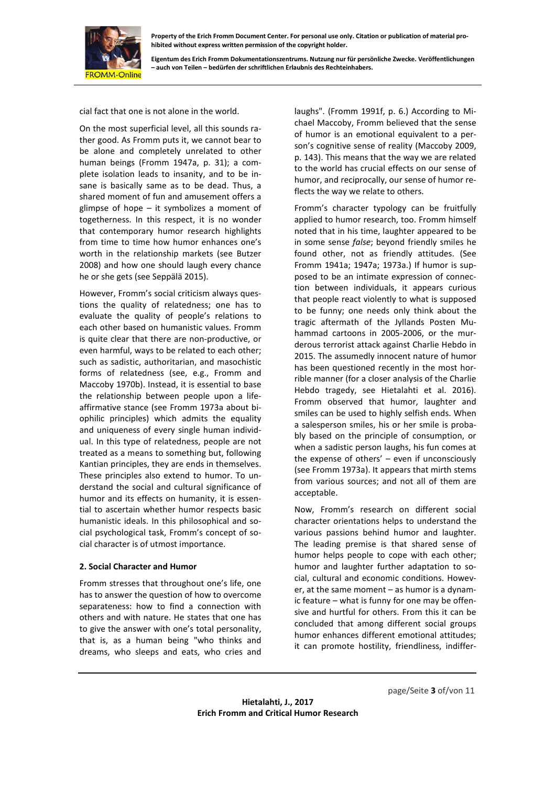

**Eigentum des Erich Fromm Dokumentationszentrums. Nutzung nur für persönliche Zwecke. Veröffentlichungen – auch von Teilen – bedürfen der schriftlichen Erlaubnis des Rechteinhabers.**

cial fact that one is not alone in the world.

On the most superficial level, all this sounds rather good. As Fromm puts it, we cannot bear to be alone and completely unrelated to other human beings (Fromm 1947a, p. 31); a complete isolation leads to insanity, and to be insane is basically same as to be dead. Thus, a shared moment of fun and amusement offers a glimpse of hope – it symbolizes a moment of togetherness. In this respect, it is no wonder that contemporary humor research highlights from time to time how humor enhances one's worth in the relationship markets (see Butzer 2008) and how one should laugh every chance he or she gets (see Seppälä 2015).

However, Fromm's social criticism always questions the quality of relatedness; one has to evaluate the quality of people's relations to each other based on humanistic values. Fromm is quite clear that there are non-productive, or even harmful, ways to be related to each other; such as sadistic, authoritarian, and masochistic forms of relatedness (see, e.g., Fromm and Maccoby 1970b). Instead, it is essential to base the relationship between people upon a lifeaffirmative stance (see Fromm 1973a about biophilic principles) which admits the equality and uniqueness of every single human individual. In this type of relatedness, people are not treated as a means to something but, following Kantian principles, they are ends in themselves. These principles also extend to humor. To understand the social and cultural significance of humor and its effects on humanity, it is essential to ascertain whether humor respects basic humanistic ideals. In this philosophical and social psychological task, Fromm's concept of social character is of utmost importance.

#### **2. Social Character and Humor**

Fromm stresses that throughout one's life, one has to answer the question of how to overcome separateness: how to find a connection with others and with nature. He states that one has to give the answer with one's total personality, that is, as a human being "who thinks and dreams, who sleeps and eats, who cries and

laughs". (Fromm 1991f, p. 6.) According to Michael Maccoby, Fromm believed that the sense of humor is an emotional equivalent to a person's cognitive sense of reality (Maccoby 2009, p. 143). This means that the way we are related to the world has crucial effects on our sense of humor, and reciprocally, our sense of humor reflects the way we relate to others.

Fromm's character typology can be fruitfully applied to humor research, too. Fromm himself noted that in his time, laughter appeared to be in some sense *false*; beyond friendly smiles he found other, not as friendly attitudes. (See Fromm 1941a; 1947a; 1973a.) If humor is supposed to be an intimate expression of connection between individuals, it appears curious that people react violently to what is supposed to be funny; one needs only think about the tragic aftermath of the Jyllands Posten Muhammad cartoons in 2005-2006, or the murderous terrorist attack against Charlie Hebdo in 2015. The assumedly innocent nature of humor has been questioned recently in the most horrible manner (for a closer analysis of the Charlie Hebdo tragedy, see Hietalahti et al. 2016). Fromm observed that humor, laughter and smiles can be used to highly selfish ends. When a salesperson smiles, his or her smile is probably based on the principle of consumption, or when a sadistic person laughs, his fun comes at the expense of others' – even if unconsciously (see Fromm 1973a). It appears that mirth stems from various sources; and not all of them are acceptable.

Now, Fromm's research on different social character orientations helps to understand the various passions behind humor and laughter. The leading premise is that shared sense of humor helps people to cope with each other; humor and laughter further adaptation to social, cultural and economic conditions. However, at the same moment – as humor is a dynamic feature – what is funny for one may be offensive and hurtful for others. From this it can be concluded that among different social groups humor enhances different emotional attitudes; it can promote hostility, friendliness, indiffer-

page/Seite **3** of/von 11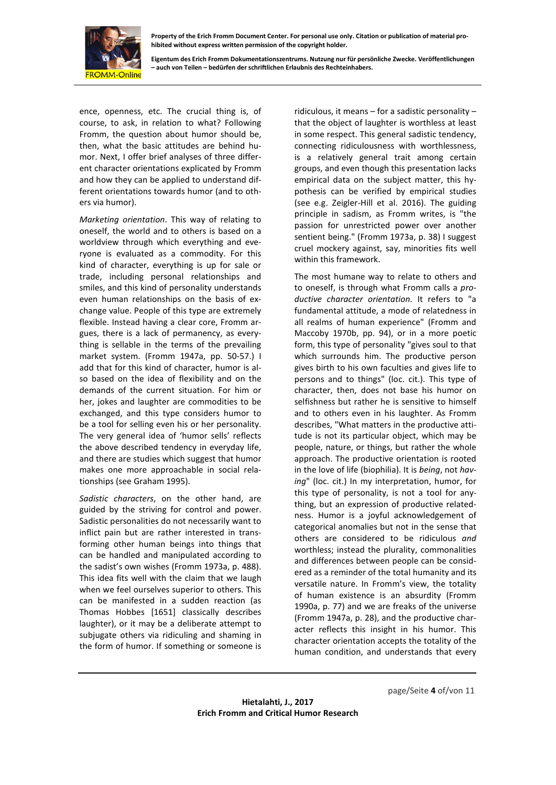

**Eigentum des Erich Fromm Dokumentationszentrums. Nutzung nur für persönliche Zwecke. Veröffentlichungen – auch von Teilen – bedürfen der schriftlichen Erlaubnis des Rechteinhabers.**

ence, openness, etc. The crucial thing is, of course, to ask, in relation to what? Following Fromm, the question about humor should be, then, what the basic attitudes are behind humor. Next, I offer brief analyses of three different character orientations explicated by Fromm and how they can be applied to understand different orientations towards humor (and to others via humor).

*Marketing orientation*. This way of relating to oneself, the world and to others is based on a worldview through which everything and everyone is evaluated as a commodity. For this kind of character, everything is up for sale or trade, including personal relationships and smiles, and this kind of personality understands even human relationships on the basis of exchange value. People of this type are extremely flexible. Instead having a clear core, Fromm argues, there is a lack of permanency, as everything is sellable in the terms of the prevailing market system. (Fromm 1947a, pp. 50-57.) I add that for this kind of character, humor is also based on the idea of flexibility and on the demands of the current situation. For him or her, jokes and laughter are commodities to be exchanged, and this type considers humor to be a tool for selling even his or her personality. The very general idea of 'humor sells' reflects the above described tendency in everyday life, and there are studies which suggest that humor makes one more approachable in social relationships (see Graham 1995).

*Sadistic characters*, on the other hand, are guided by the striving for control and power. Sadistic personalities do not necessarily want to inflict pain but are rather interested in transforming other human beings into things that can be handled and manipulated according to the sadist's own wishes (Fromm 1973a, p. 488). This idea fits well with the claim that we laugh when we feel ourselves superior to others. This can be manifested in a sudden reaction (as Thomas Hobbes [1651] classically describes laughter), or it may be a deliberate attempt to subjugate others via ridiculing and shaming in the form of humor. If something or someone is

ridiculous, it means – for a sadistic personality – that the object of laughter is worthless at least in some respect. This general sadistic tendency, connecting ridiculousness with worthlessness, is a relatively general trait among certain groups, and even though this presentation lacks empirical data on the subject matter, this hypothesis can be verified by empirical studies (see e.g. Zeigler-Hill et al. 2016). The guiding principle in sadism, as Fromm writes, is "the passion for unrestricted power over another sentient being." (Fromm 1973a, p. 38) I suggest cruel mockery against, say, minorities fits well within this framework.

The most humane way to relate to others and to oneself, is through what Fromm calls a *productive character orientation*. It refers to "a fundamental attitude, a mode of relatedness in all realms of human experience" (Fromm and Maccoby 1970b, pp. 94), or in a more poetic form, this type of personality "gives soul to that which surrounds him. The productive person gives birth to his own faculties and gives life to persons and to things" (loc. cit.). This type of character, then, does not base his humor on selfishness but rather he is sensitive to himself and to others even in his laughter. As Fromm describes, "What matters in the productive attitude is not its particular object, which may be people, nature, or things, but rather the whole approach. The productive orientation is rooted in the love of life (biophilia). It is *being*, not *having*" (loc. cit.) In my interpretation, humor, for this type of personality, is not a tool for anything, but an expression of productive relatedness. Humor is a joyful acknowledgement of categorical anomalies but not in the sense that others are considered to be ridiculous *and* worthless; instead the plurality, commonalities and differences between people can be considered as a reminder of the total humanity and its versatile nature. In Fromm's view, the totality of human existence is an absurdity (Fromm 1990a, p. 77) and we are freaks of the universe (Fromm 1947a, p. 28), and the productive character reflects this insight in his humor. This character orientation accepts the totality of the human condition, and understands that every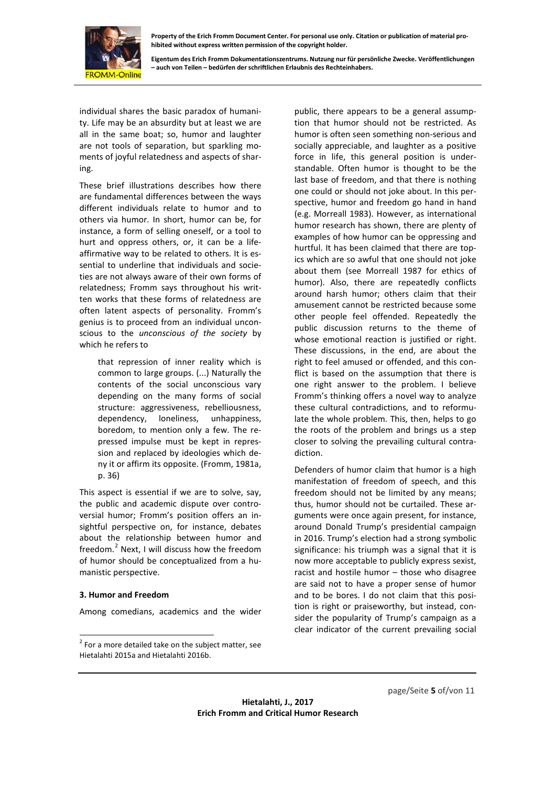

**Eigentum des Erich Fromm Dokumentationszentrums. Nutzung nur für persönliche Zwecke. Veröffentlichungen – auch von Teilen – bedürfen der schriftlichen Erlaubnis des Rechteinhabers.**

individual shares the basic paradox of humanity. Life may be an absurdity but at least we are all in the same boat; so, humor and laughter are not tools of separation, but sparkling moments of joyful relatedness and aspects of sharing.

These brief illustrations describes how there are fundamental differences between the ways different individuals relate to humor and to others via humor. In short, humor can be, for instance, a form of selling oneself, or a tool to hurt and oppress others, or, it can be a lifeaffirmative way to be related to others. It is essential to underline that individuals and societies are not always aware of their own forms of relatedness; Fromm says throughout his written works that these forms of relatedness are often latent aspects of personality. Fromm's genius is to proceed from an individual unconscious to the *unconscious of the society* by which he refers to

that repression of inner reality which is common to large groups. (...) Naturally the contents of the social unconscious vary depending on the many forms of social structure: aggressiveness, rebelliousness, dependency, loneliness, unhappiness, boredom, to mention only a few. The repressed impulse must be kept in repression and replaced by ideologies which deny it or affirm its opposite. (Fromm, 1981a, p. 36)

This aspect is essential if we are to solve, say, the public and academic dispute over controversial humor; Fromm's position offers an insightful perspective on, for instance, debates about the relationship between humor and freedom.[2](#page-5-0) Next, I will discuss how the freedom of humor should be conceptualized from a humanistic perspective.

#### **3. Humor and Freedom**

Among comedians, academics and the wider

public, there appears to be a general assumption that humor should not be restricted. As humor is often seen something non-serious and socially appreciable, and laughter as a positive force in life, this general position is understandable. Often humor is thought to be the last base of freedom, and that there is nothing one could or should not joke about. In this perspective, humor and freedom go hand in hand (e.g. Morreall 1983). However, as international humor research has shown, there are plenty of examples of how humor can be oppressing and hurtful. It has been claimed that there are topics which are so awful that one should not joke about them (see Morreall 1987 for ethics of humor). Also, there are repeatedly conflicts around harsh humor; others claim that their amusement cannot be restricted because some other people feel offended. Repeatedly the public discussion returns to the theme of whose emotional reaction is justified or right. These discussions, in the end, are about the right to feel amused or offended, and this conflict is based on the assumption that there is one right answer to the problem. I believe Fromm's thinking offers a novel way to analyze these cultural contradictions, and to reformulate the whole problem. This, then, helps to go the roots of the problem and brings us a step closer to solving the prevailing cultural contradiction.

Defenders of humor claim that humor is a high manifestation of freedom of speech, and this freedom should not be limited by any means; thus, humor should not be curtailed. These arguments were once again present, for instance, around Donald Trump's presidential campaign in 2016. Trump's election had a strong symbolic significance: his triumph was a signal that it is now more acceptable to publicly express sexist, racist and hostile humor – those who disagree are said not to have a proper sense of humor and to be bores. I do not claim that this position is right or praiseworthy, but instead, consider the popularity of Trump's campaign as a clear indicator of the current prevailing social

<span id="page-5-0"></span> $2$  For a more detailed take on the subject matter, see Hietalahti 2015a and Hietalahti 2016b.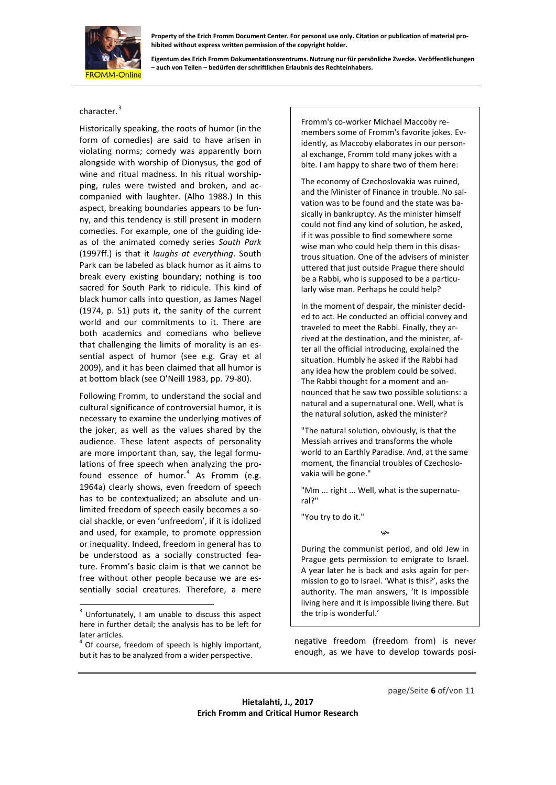

**Eigentum des Erich Fromm Dokumentationszentrums. Nutzung nur für persönliche Zwecke. Veröffentlichungen – auch von Teilen – bedürfen der schriftlichen Erlaubnis des Rechteinhabers.**

#### character.<sup>[3](#page-6-0)</sup>

Historically speaking, the roots of humor (in the form of comedies) are said to have arisen in violating norms; comedy was apparently born alongside with worship of Dionysus, the god of wine and ritual madness. In his ritual worshipping, rules were twisted and broken, and accompanied with laughter. (Alho 1988.) In this aspect, breaking boundaries appears to be funny, and this tendency is still present in modern comedies. For example, one of the guiding ideas of the animated comedy series *South Park*  (1997ff.) is that it *laughs at everything*. South Park can be labeled as black humor as it aims to break every existing boundary; nothing is too sacred for South Park to ridicule. This kind of black humor calls into question, as James Nagel (1974, p. 51) puts it, the sanity of the current world and our commitments to it. There are both academics and comedians who believe that challenging the limits of morality is an essential aspect of humor (see e.g. Gray et al 2009), and it has been claimed that all humor is at bottom black (see O'Neill 1983, pp. 79-80).

Following Fromm, to understand the social and cultural significance of controversial humor, it is necessary to examine the underlying motives of the joker, as well as the values shared by the audience. These latent aspects of personality are more important than, say, the legal formulations of free speech when analyzing the profound essence of humor. $4$  As Fromm (e.g. 1964a) clearly shows, even freedom of speech has to be contextualized; an absolute and unlimited freedom of speech easily becomes a social shackle, or even 'unfreedom', if it is idolized and used, for example, to promote oppression or inequality. Indeed, freedom in general has to be understood as a socially constructed feature. Fromm's basic claim is that we cannot be free without other people because we are essentially social creatures. Therefore, a mere

Fromm's co-worker Michael Maccoby remembers some of Fromm's favorite jokes. Evidently, as Maccoby elaborates in our personal exchange, Fromm told many jokes with a bite. I am happy to share two of them here:

The economy of Czechoslovakia was ruined, and the Minister of Finance in trouble. No salvation was to be found and the state was basically in bankruptcy. As the minister himself could not find any kind of solution, he asked, if it was possible to find somewhere some wise man who could help them in this disastrous situation. One of the advisers of minister uttered that just outside Prague there should be a Rabbi, who is supposed to be a particularly wise man. Perhaps he could help?

In the moment of despair, the minister decided to act. He conducted an official convey and traveled to meet the Rabbi. Finally, they arrived at the destination, and the minister, after all the official introducing, explained the situation. Humbly he asked if the Rabbi had any idea how the problem could be solved. The Rabbi thought for a moment and announced that he saw two possible solutions: a natural and a supernatural one. Well, what is the natural solution, asked the minister?

"The natural solution, obviously, is that the Messiah arrives and transforms the whole world to an Earthly Paradise. And, at the same moment, the financial troubles of Czechoslovakia will be gone."

"Mm ... right ... Well, what is the supernatural?"

"You try to do it."

 $\infty$ 

During the communist period, and old Jew in Prague gets permission to emigrate to Israel. A year later he is back and asks again for permission to go to Israel. 'What is this?', asks the authority. The man answers, 'It is impossible living here and it is impossible living there. But the trip is wonderful.'

negative freedom (freedom from) is never enough, as we have to develop towards posi-

<span id="page-6-0"></span><sup>&</sup>lt;sup>3</sup> Unfortunately, I am unable to discuss this aspect here in further detail; the analysis has to be left for later articles.

<span id="page-6-1"></span><sup>4</sup> Of course, freedom of speech is highly important, but it has to be analyzed from a wider perspective.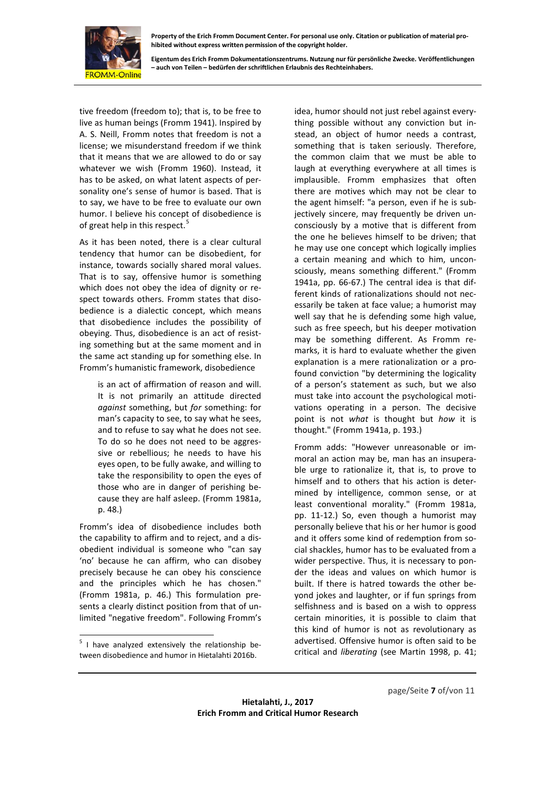

**Eigentum des Erich Fromm Dokumentationszentrums. Nutzung nur für persönliche Zwecke. Veröffentlichungen – auch von Teilen – bedürfen der schriftlichen Erlaubnis des Rechteinhabers.**

tive freedom (freedom to); that is, to be free to live as human beings (Fromm 1941). Inspired by A. S. Neill, Fromm notes that freedom is not a license; we misunderstand freedom if we think that it means that we are allowed to do or say whatever we wish (Fromm 1960). Instead, it has to be asked, on what latent aspects of personality one's sense of humor is based. That is to say, we have to be free to evaluate our own humor. I believe his concept of disobedience is of great help in this respect.<sup>[5](#page-7-0)</sup>

As it has been noted, there is a clear cultural tendency that humor can be disobedient, for instance, towards socially shared moral values. That is to say, offensive humor is something which does not obey the idea of dignity or respect towards others. Fromm states that disobedience is a dialectic concept, which means that disobedience includes the possibility of obeying. Thus, disobedience is an act of resisting something but at the same moment and in the same act standing up for something else. In Fromm's humanistic framework, disobedience

is an act of affirmation of reason and will. It is not primarily an attitude directed *against* something, but *for* something: for man's capacity to see, to say what he sees, and to refuse to say what he does not see. To do so he does not need to be aggressive or rebellious; he needs to have his eyes open, to be fully awake, and willing to take the responsibility to open the eyes of those who are in danger of perishing because they are half asleep. (Fromm 1981a, p. 48.)

Fromm's idea of disobedience includes both the capability to affirm and to reject, and a disobedient individual is someone who "can say 'no' because he can affirm, who can disobey precisely because he can obey his conscience and the principles which he has chosen." (Fromm 1981a, p. 46.) This formulation presents a clearly distinct position from that of unlimited "negative freedom". Following Fromm's

<span id="page-7-0"></span> $5$  I have analyzed extensively the relationship between disobedience and humor in Hietalahti 2016b.

idea, humor should not just rebel against everything possible without any conviction but instead, an object of humor needs a contrast, something that is taken seriously. Therefore, the common claim that we must be able to laugh at everything everywhere at all times is implausible. Fromm emphasizes that often there are motives which may not be clear to the agent himself: "a person, even if he is subjectively sincere, may frequently be driven unconsciously by a motive that is different from the one he believes himself to be driven; that he may use one concept which logically implies a certain meaning and which to him, unconsciously, means something different." (Fromm 1941a, pp. 66-67.) The central idea is that different kinds of rationalizations should not necessarily be taken at face value; a humorist may well say that he is defending some high value, such as free speech, but his deeper motivation may be something different. As Fromm remarks, it is hard to evaluate whether the given explanation is a mere rationalization or a profound conviction "by determining the logicality of a person's statement as such, but we also must take into account the psychological motivations operating in a person. The decisive point is not *what* is thought but *how* it is thought." (Fromm 1941a, p. 193.)

Fromm adds: "However unreasonable or immoral an action may be, man has an insuperable urge to rationalize it, that is, to prove to himself and to others that his action is determined by intelligence, common sense, or at least conventional morality." (Fromm 1981a, pp. 11-12.) So, even though a humorist may personally believe that his or her humor is good and it offers some kind of redemption from social shackles, humor has to be evaluated from a wider perspective. Thus, it is necessary to ponder the ideas and values on which humor is built. If there is hatred towards the other beyond jokes and laughter, or if fun springs from selfishness and is based on a wish to oppress certain minorities, it is possible to claim that this kind of humor is not as revolutionary as advertised. Offensive humor is often said to be critical and *liberating* (see Martin 1998, p. 41;

page/Seite **7** of/von 11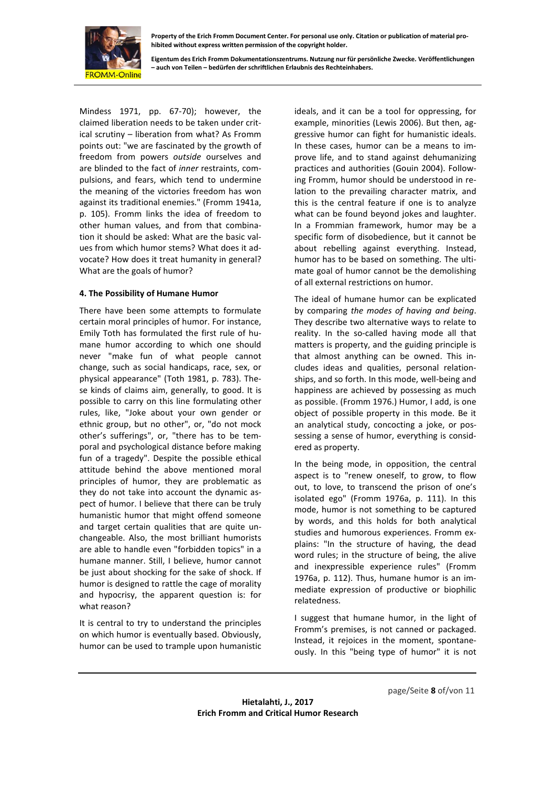

**Eigentum des Erich Fromm Dokumentationszentrums. Nutzung nur für persönliche Zwecke. Veröffentlichungen – auch von Teilen – bedürfen der schriftlichen Erlaubnis des Rechteinhabers.**

Mindess 1971, pp. 67-70); however, the claimed liberation needs to be taken under critical scrutiny – liberation from what? As Fromm points out: "we are fascinated by the growth of freedom from powers *outside* ourselves and are blinded to the fact of *inner* restraints, compulsions, and fears, which tend to undermine the meaning of the victories freedom has won against its traditional enemies." (Fromm 1941a, p. 105). Fromm links the idea of freedom to other human values, and from that combination it should be asked: What are the basic values from which humor stems? What does it advocate? How does it treat humanity in general? What are the goals of humor?

#### **4. The Possibility of Humane Humor**

There have been some attempts to formulate certain moral principles of humor. For instance, Emily Toth has formulated the first rule of humane humor according to which one should never "make fun of what people cannot change, such as social handicaps, race, sex, or physical appearance" (Toth 1981, p. 783). These kinds of claims aim, generally, to good. It is possible to carry on this line formulating other rules, like, "Joke about your own gender or ethnic group, but no other", or, "do not mock other's sufferings", or, "there has to be temporal and psychological distance before making fun of a tragedy". Despite the possible ethical attitude behind the above mentioned moral principles of humor, they are problematic as they do not take into account the dynamic aspect of humor. I believe that there can be truly humanistic humor that might offend someone and target certain qualities that are quite unchangeable. Also, the most brilliant humorists are able to handle even "forbidden topics" in a humane manner. Still, I believe, humor cannot be just about shocking for the sake of shock. If humor is designed to rattle the cage of morality and hypocrisy, the apparent question is: for what reason?

It is central to try to understand the principles on which humor is eventually based. Obviously, humor can be used to trample upon humanistic

ideals, and it can be a tool for oppressing, for example, minorities (Lewis 2006). But then, aggressive humor can fight for humanistic ideals. In these cases, humor can be a means to improve life, and to stand against dehumanizing practices and authorities (Gouin 2004). Following Fromm, humor should be understood in relation to the prevailing character matrix, and this is the central feature if one is to analyze what can be found beyond jokes and laughter. In a Frommian framework, humor may be a specific form of disobedience, but it cannot be about rebelling against everything. Instead, humor has to be based on something. The ultimate goal of humor cannot be the demolishing of all external restrictions on humor.

The ideal of humane humor can be explicated by comparing *the modes of having and being*. They describe two alternative ways to relate to reality. In the so-called having mode all that matters is property, and the guiding principle is that almost anything can be owned. This includes ideas and qualities, personal relationships, and so forth. In this mode, well-being and happiness are achieved by possessing as much as possible. (Fromm 1976.) Humor, I add, is one object of possible property in this mode. Be it an analytical study, concocting a joke, or possessing a sense of humor, everything is considered as property.

In the being mode, in opposition, the central aspect is to "renew oneself, to grow, to flow out, to love, to transcend the prison of one's isolated ego" (Fromm 1976a, p. 111). In this mode, humor is not something to be captured by words, and this holds for both analytical studies and humorous experiences. Fromm explains: "In the structure of having, the dead word rules; in the structure of being, the alive and inexpressible experience rules" (Fromm 1976a, p. 112). Thus, humane humor is an immediate expression of productive or biophilic relatedness.

I suggest that humane humor, in the light of Fromm's premises, is not canned or packaged. Instead, it rejoices in the moment, spontaneously. In this "being type of humor" it is not

page/Seite **8** of/von 11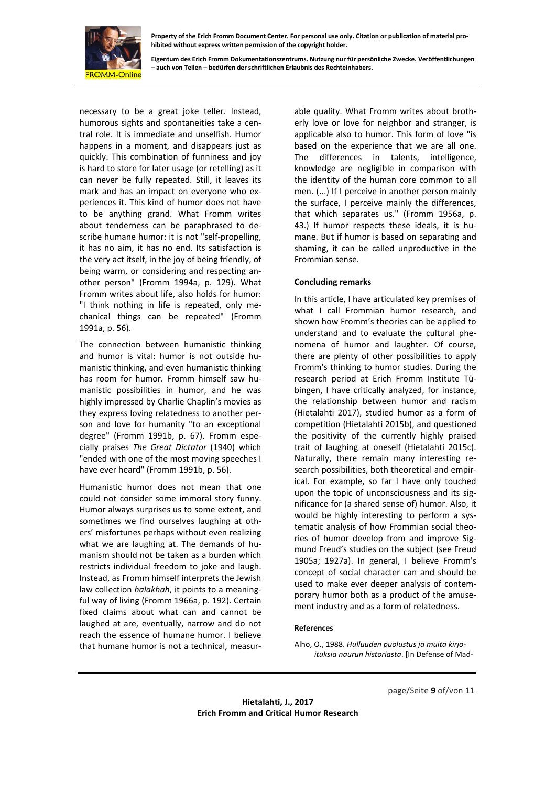

**Eigentum des Erich Fromm Dokumentationszentrums. Nutzung nur für persönliche Zwecke. Veröffentlichungen – auch von Teilen – bedürfen der schriftlichen Erlaubnis des Rechteinhabers.**

necessary to be a great joke teller. Instead, humorous sights and spontaneities take a central role. It is immediate and unselfish. Humor happens in a moment, and disappears just as quickly. This combination of funniness and joy is hard to store for later usage (or retelling) as it can never be fully repeated. Still, it leaves its mark and has an impact on everyone who experiences it. This kind of humor does not have to be anything grand. What Fromm writes about tenderness can be paraphrased to describe humane humor: it is not "self-propelling, it has no aim, it has no end. Its satisfaction is the very act itself, in the joy of being friendly, of being warm, or considering and respecting another person" (Fromm 1994a, p. 129). What Fromm writes about life, also holds for humor: "I think nothing in life is repeated, only mechanical things can be repeated" (Fromm 1991a, p. 56).

The connection between humanistic thinking and humor is vital: humor is not outside humanistic thinking, and even humanistic thinking has room for humor. Fromm himself saw humanistic possibilities in humor, and he was highly impressed by Charlie Chaplin's movies as they express loving relatedness to another person and love for humanity "to an exceptional degree" (Fromm 1991b, p. 67). Fromm especially praises *The Great Dictator* (1940) which "ended with one of the most moving speeches I have ever heard" (Fromm 1991b, p. 56).

Humanistic humor does not mean that one could not consider some immoral story funny. Humor always surprises us to some extent, and sometimes we find ourselves laughing at others' misfortunes perhaps without even realizing what we are laughing at. The demands of humanism should not be taken as a burden which restricts individual freedom to joke and laugh. Instead, as Fromm himself interprets the Jewish law collection *halakhah*, it points to a meaningful way of living (Fromm 1966a, p. 192). Certain fixed claims about what can and cannot be laughed at are, eventually, narrow and do not reach the essence of humane humor. I believe that humane humor is not a technical, measur-

able quality. What Fromm writes about brotherly love or love for neighbor and stranger, is applicable also to humor. This form of love "is based on the experience that we are all one. The differences in talents, intelligence, knowledge are negligible in comparison with the identity of the human core common to all men. (...) If I perceive in another person mainly the surface, I perceive mainly the differences, that which separates us." (Fromm 1956a, p. 43.) If humor respects these ideals, it is humane. But if humor is based on separating and shaming, it can be called unproductive in the Frommian sense.

#### **Concluding remarks**

In this article, I have articulated key premises of what I call Frommian humor research, and shown how Fromm's theories can be applied to understand and to evaluate the cultural phenomena of humor and laughter. Of course, there are plenty of other possibilities to apply Fromm's thinking to humor studies. During the research period at Erich Fromm Institute Tübingen, I have critically analyzed, for instance, the relationship between humor and racism (Hietalahti 2017), studied humor as a form of competition (Hietalahti 2015b), and questioned the positivity of the currently highly praised trait of laughing at oneself (Hietalahti 2015c). Naturally, there remain many interesting research possibilities, both theoretical and empirical. For example, so far I have only touched upon the topic of unconsciousness and its significance for (a shared sense of) humor. Also, it would be highly interesting to perform a systematic analysis of how Frommian social theories of humor develop from and improve Sigmund Freud's studies on the subject (see Freud 1905a; 1927a). In general, I believe Fromm's concept of social character can and should be used to make ever deeper analysis of contemporary humor both as a product of the amusement industry and as a form of relatedness.

#### **References**

Alho, O., 1988. *Hulluuden puolustus ja muita kirjoituksia naurun historiasta*. [In Defense of Mad-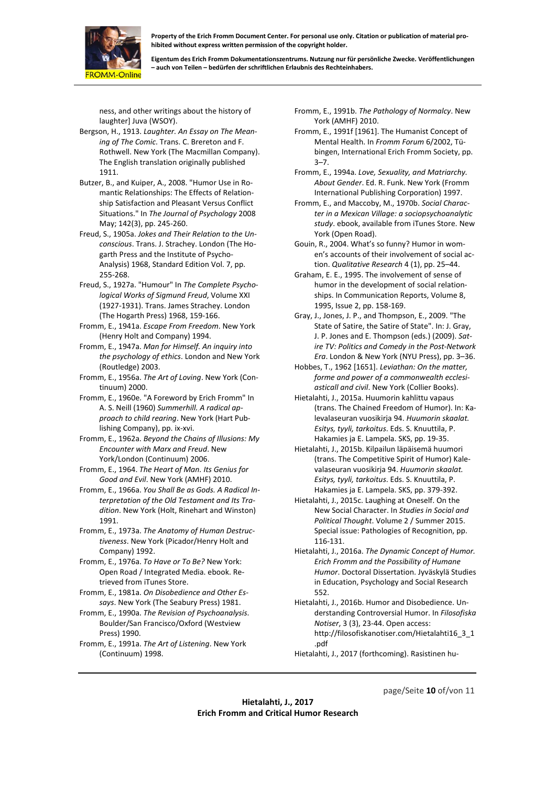

**Eigentum des Erich Fromm Dokumentationszentrums. Nutzung nur für persönliche Zwecke. Veröffentlichungen – auch von Teilen – bedürfen der schriftlichen Erlaubnis des Rechteinhabers.**

ness, and other writings about the history of laughter] Juva (WSOY).

- Bergson, H., 1913. *Laughter. An Essay on The Meaning of The Comic*. Trans. C. Brereton and F. Rothwell. New York (The Macmillan Company). The English translation originally published 1911.
- Butzer, B., and Kuiper, A., 2008. "Humor Use in Romantic Relationships: The Effects of Relationship Satisfaction and Pleasant Versus Conflict Situations." In *The Journal of Psychology* 2008 May; 142(3), pp. 245-260.
- Freud, S., 1905a. *Jokes and Their Relation to the Unconscious*. Trans. J. Strachey. London (The Hogarth Press and the Institute of Psycho-Analysis) 1968, Standard Edition Vol. 7, pp. 255-268.
- Freud, S., 1927a. "Humour" In *The Complete Psychological Works of Sigmund Freud*, Volume XXI (1927-1931). Trans. James Strachey. London (The Hogarth Press) 1968, 159-166.
- Fromm, E., 1941a. *Escape From Freedom*. New York (Henry Holt and Company) 1994.
- Fromm, E., 1947a. *Man for Himself. An inquiry into the psychology of ethics*. London and New York (Routledge) 2003.
- Fromm, E., 1956a. *The Art of Loving*. New York (Continuum) 2000.
- Fromm, E., 1960e. "A Foreword by Erich Fromm" In A. S. Neill (1960) *Summerhill. A radical approach to child rearing*. New York (Hart Publishing Company), pp. ix-xvi.
- Fromm, E., 1962a. *Beyond the Chains of Illusions: My Encounter with Marx and Freud*. New York/London (Continuum) 2006.
- Fromm, E., 1964. *The Heart of Man. Its Genius for Good and Evil*. New York (AMHF) 2010.
- Fromm, E., 1966a. *You Shall Be as Gods. A Radical Interpretation of the Old Testament and Its Tradition*. New York (Holt, Rinehart and Winston) 1991.
- Fromm, E., 1973a. *The Anatomy of Human Destructiveness*. New York (Picador/Henry Holt and Company) 1992.
- Fromm, E., 1976a. *To Have or To Be?* New York: Open Road / Integrated Media. ebook. Retrieved from iTunes Store.
- Fromm, E., 1981a. *On Disobedience and Other Essays*. New York (The Seabury Press) 1981.
- Fromm, E., 1990a. *The Revision of Psychoanalysis*. Boulder/San Francisco/Oxford (Westview Press) 1990.
- Fromm, E., 1991a. *The Art of Listening*. New York (Continuum) 1998.
- Fromm, E., 1991b. *The Pathology of Normalcy*. New York (AMHF) 2010.
- Fromm, E., 1991f [1961]. The Humanist Concept of Mental Health. In *Fromm Forum* 6/2002, Tübingen, International Erich Fromm Society, pp. 3–7.
- Fromm, E., 1994a. *Love, Sexuality, and Matriarchy. About Gender*. Ed. R. Funk. New York (Fromm International Publishing Corporation) 1997.
- Fromm, E., and Maccoby, M., 1970b. *Social Character in a Mexican Village: a sociopsychoanalytic study*. ebook, available from iTunes Store. New York (Open Road).
- Gouin, R., 2004. What's so funny? Humor in women's accounts of their involvement of social action. *Qualitative Research* 4 (1), pp. 25–44.
- Graham, E. E., 1995. The involvement of sense of humor in the development of social relationships. In Communication Reports, Volume 8, 1995, Issue 2, pp. 158-169.
- Gray, J., Jones, J. P., and Thompson, E., 2009. "The State of Satire, the Satire of State". In: J. Gray, J. P. Jones and E. Thompson (eds.) (2009). *Satire TV: Politics and Comedy in the Post-Network Era*. London & New York (NYU Press), pp. 3–36.
- Hobbes, T., 1962 [1651]. *Leviathan: On the matter, forme and power of a commonwealth ecclesiasticall and civil*. New York (Collier Books).
- Hietalahti, J., 2015a. Huumorin kahlittu vapaus (trans. The Chained Freedom of Humor). In: Kalevalaseuran vuosikirja 94. *Huumorin skaalat. Esitys, tyyli, tarkoitus*. Eds. S. Knuuttila, P. Hakamies ja E. Lampela. SKS, pp. 19-35.
- Hietalahti, J., 2015b. Kilpailun läpäisemä huumori (trans. The Competitive Spirit of Humor) Kalevalaseuran vuosikirja 94. *Huumorin skaalat. Esitys, tyyli, tarkoitus*. Eds. S. Knuuttila, P. Hakamies ja E. Lampela. SKS, pp. 379-392.
- Hietalahti, J., 2015c. Laughing at Oneself. On the New Social Character. In *Studies in Social and Political Thought*. Volume 2 / Summer 2015. Special issue: Pathologies of Recognition, pp. 116-131.
- Hietalahti, J., 2016a. *The Dynamic Concept of Humor. Erich Fromm and the Possibility of Humane Humor*. Doctoral Dissertation. Jyväskylä Studies in Education, Psychology and Social Research 552.
- Hietalahti, J., 2016b. Humor and Disobedience. Understanding Controversial Humor. In *Filosofiska Notiser*, 3 (3), 23-44. Open access: http://filosofiskanotiser.com/Hietalahti16\_3\_1 .pdf
- Hietalahti, J., 2017 (forthcoming). Rasistinen hu-

page/Seite **10** of/von 11

**Hietalahti, J., 2017 Erich Fromm and Critical Humor Research**